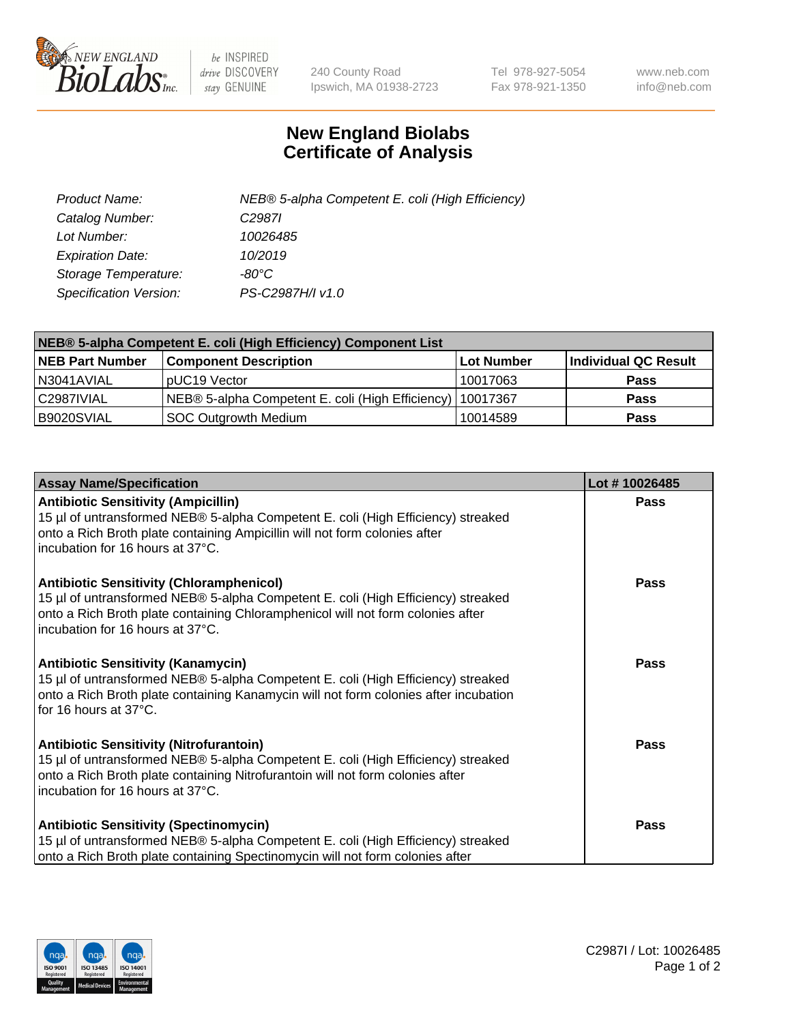

 $be$  INSPIRED drive DISCOVERY stay GENUINE

240 County Road Ipswich, MA 01938-2723 Tel 978-927-5054 Fax 978-921-1350 www.neb.com info@neb.com

## **New England Biolabs Certificate of Analysis**

| Product Name:           | NEB® 5-alpha Competent E. coli (High Efficiency) |
|-------------------------|--------------------------------------------------|
| Catalog Number:         | C <sub>2987</sub>                                |
| Lot Number:             | 10026485                                         |
| <b>Expiration Date:</b> | 10/2019                                          |
| Storage Temperature:    | -80°C                                            |
| Specification Version:  | PS-C2987H/I v1.0                                 |

| NEB® 5-alpha Competent E. coli (High Efficiency) Component List |                                                             |            |                      |  |
|-----------------------------------------------------------------|-------------------------------------------------------------|------------|----------------------|--|
| <b>NEB Part Number</b>                                          | <b>Component Description</b>                                | Lot Number | Individual QC Result |  |
| N3041AVIAL                                                      | pUC19 Vector                                                | 10017063   | Pass                 |  |
| C2987IVIAL                                                      | NEB® 5-alpha Competent E. coli (High Efficiency)   10017367 |            | Pass                 |  |
| B9020SVIAL                                                      | <b>SOC Outgrowth Medium</b>                                 | 10014589   | <b>Pass</b>          |  |

| <b>Assay Name/Specification</b>                                                                                                                                                                                                                            | Lot #10026485 |
|------------------------------------------------------------------------------------------------------------------------------------------------------------------------------------------------------------------------------------------------------------|---------------|
| <b>Antibiotic Sensitivity (Ampicillin)</b><br>15 µl of untransformed NEB® 5-alpha Competent E. coli (High Efficiency) streaked<br>onto a Rich Broth plate containing Ampicillin will not form colonies after<br>incubation for 16 hours at 37°C.           | Pass          |
| <b>Antibiotic Sensitivity (Chloramphenicol)</b><br>15 µl of untransformed NEB® 5-alpha Competent E. coli (High Efficiency) streaked<br>onto a Rich Broth plate containing Chloramphenicol will not form colonies after<br>incubation for 16 hours at 37°C. | Pass          |
| Antibiotic Sensitivity (Kanamycin)<br>15 µl of untransformed NEB® 5-alpha Competent E. coli (High Efficiency) streaked<br>onto a Rich Broth plate containing Kanamycin will not form colonies after incubation<br>for 16 hours at 37°C.                    | Pass          |
| <b>Antibiotic Sensitivity (Nitrofurantoin)</b><br>15 µl of untransformed NEB® 5-alpha Competent E. coli (High Efficiency) streaked<br>onto a Rich Broth plate containing Nitrofurantoin will not form colonies after<br>incubation for 16 hours at 37°C.   | <b>Pass</b>   |
| <b>Antibiotic Sensitivity (Spectinomycin)</b><br>15 µl of untransformed NEB® 5-alpha Competent E. coli (High Efficiency) streaked<br>onto a Rich Broth plate containing Spectinomycin will not form colonies after                                         | Pass          |